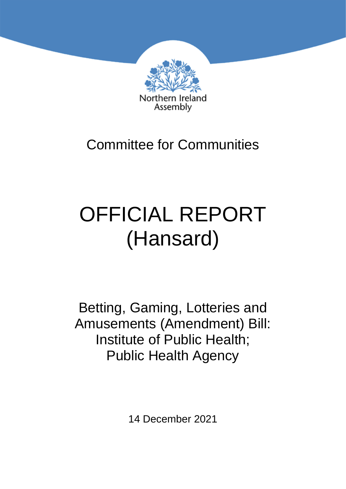

# Committee for Communities

# OFFICIAL REPORT (Hansard)

Betting, Gaming, Lotteries and Amusements (Amendment) Bill: Institute of Public Health; Public Health Agency

14 December 2021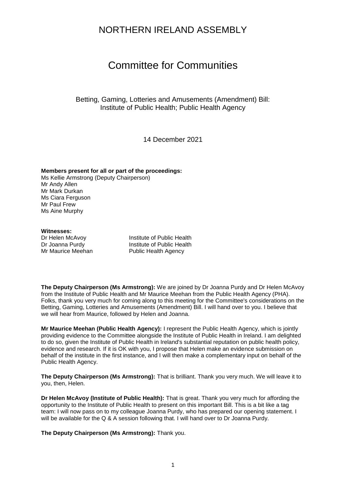### NORTHERN IRELAND ASSEMBLY

## Committee for Communities

Betting, Gaming, Lotteries and Amusements (Amendment) Bill: Institute of Public Health; Public Health Agency

14 December 2021

#### **Members present for all or part of the proceedings:**

Ms Kellie Armstrong (Deputy Chairperson) Mr Andy Allen Mr Mark Durkan Ms Ciara Ferguson Mr Paul Frew Ms Aine Murphy

#### **Witnesses:**

Dr Helen McAvoy **Institute of Public Health** Dr Joanna Purdy **Institute of Public Health** Mr Maurice Meehan Public Health Agency

**The Deputy Chairperson (Ms Armstrong):** We are joined by Dr Joanna Purdy and Dr Helen McAvoy from the Institute of Public Health and Mr Maurice Meehan from the Public Health Agency (PHA). Folks, thank you very much for coming along to this meeting for the Committee's considerations on the Betting, Gaming, Lotteries and Amusements (Amendment) Bill. I will hand over to you. I believe that we will hear from Maurice, followed by Helen and Joanna.

**Mr Maurice Meehan (Public Health Agency):** I represent the Public Health Agency, which is jointly providing evidence to the Committee alongside the Institute of Public Health in Ireland. I am delighted to do so, given the Institute of Public Health in Ireland's substantial reputation on public health policy, evidence and research. If it is OK with you, I propose that Helen make an evidence submission on behalf of the institute in the first instance, and I will then make a complementary input on behalf of the Public Health Agency.

**The Deputy Chairperson (Ms Armstrong):** That is brilliant. Thank you very much. We will leave it to you, then, Helen.

**Dr Helen McAvoy (Institute of Public Health):** That is great. Thank you very much for affording the opportunity to the Institute of Public Health to present on this important Bill. This is a bit like a tag team: I will now pass on to my colleague Joanna Purdy, who has prepared our opening statement. I will be available for the Q & A session following that. I will hand over to Dr Joanna Purdy.

**The Deputy Chairperson (Ms Armstrong):** Thank you.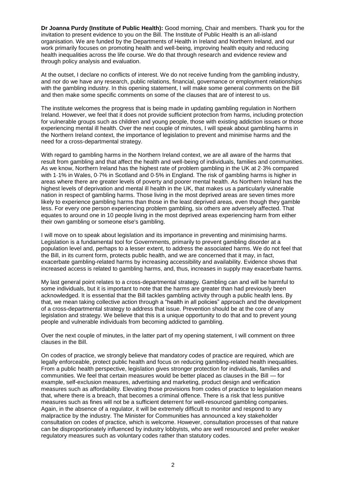**Dr Joanna Purdy (Institute of Public Health):** Good morning, Chair and members. Thank you for the invitation to present evidence to you on the Bill. The Institute of Public Health is an all-island organisation. We are funded by the Departments of Health in Ireland and Northern Ireland, and our work primarily focuses on promoting health and well-being, improving health equity and reducing health inequalities across the life course. We do that through research and evidence review and through policy analysis and evaluation.

At the outset, I declare no conflicts of interest. We do not receive funding from the gambling industry, and nor do we have any research, public relations, financial, governance or employment relationships with the gambling industry. In this opening statement, I will make some general comments on the Bill and then make some specific comments on some of the clauses that are of interest to us.

The institute welcomes the progress that is being made in updating gambling regulation in Northern Ireland. However, we feel that it does not provide sufficient protection from harms, including protection for vulnerable groups such as children and young people, those with existing addiction issues or those experiencing mental ill health. Over the next couple of minutes, I will speak about gambling harms in the Northern Ireland context, the importance of legislation to prevent and minimise harms and the need for a cross-departmental strategy.

With regard to gambling harms in the Northern Ireland context, we are all aware of the harms that result from gambling and that affect the health and well-being of individuals, families and communities. As we know, Northern Ireland has the highest rate of problem gambling in the UK at 2·3% compared with 1·1% in Wales, 0·7% in Scotland and 0·5% in England. The risk of gambling harms is higher in areas where there are greater levels of poverty and poorer mental health. As Northern Ireland has the highest levels of deprivation and mental ill health in the UK, that makes us a particularly vulnerable nation in respect of gambling harms. Those living in the most deprived areas are seven times more likely to experience gambling harms than those in the least deprived areas, even though they gamble less. For every one person experiencing problem gambling, six others are adversely affected. That equates to around one in 10 people living in the most deprived areas experiencing harm from either their own gambling or someone else's gambling.

I will move on to speak about legislation and its importance in preventing and minimising harms. Legislation is a fundamental tool for Governments, primarily to prevent gambling disorder at a population level and, perhaps to a lesser extent, to address the associated harms. We do not feel that the Bill, in its current form, protects public health, and we are concerned that it may, in fact, exacerbate gambling-related harms by increasing accessibility and availability. Evidence shows that increased access is related to gambling harms, and, thus, increases in supply may exacerbate harms.

My last general point relates to a cross-departmental strategy. Gambling can and will be harmful to some individuals, but it is important to note that the harms are greater than had previously been acknowledged. It is essential that the Bill tackles gambling activity through a public health lens. By that, we mean taking collective action through a "health in all policies" approach and the development of a cross-departmental strategy to address that issue. Prevention should be at the core of any legislation and strategy. We believe that this is a unique opportunity to do that and to prevent young people and vulnerable individuals from becoming addicted to gambling.

Over the next couple of minutes, in the latter part of my opening statement, I will comment on three clauses in the Bill.

On codes of practice, we strongly believe that mandatory codes of practice are required*,* which are legally enforceable, protect public health and focus on reducing gambling-related health inequalities. From a public health perspective, legislation gives stronger protection for individuals, families and communities. We feel that certain measures would be better placed as clauses in the Bill — for example, self-exclusion measures, advertising and marketing, product design and verification measures such as affordability. Elevating those provisions from codes of practice to legislation means that, where there is a breach, that becomes a criminal offence. There is a risk that less punitive measures such as fines will not be a sufficient deterrent for well-resourced gambling companies. Again, in the absence of a regulator, it will be extremely difficult to monitor and respond to any malpractice by the industry. The Minister for Communities has announced a key stakeholder consultation on codes of practice, which is welcome. However, consultation processes of that nature can be disproportionately influenced by industry lobbyists, who are well resourced and prefer weaker regulatory measures such as voluntary codes rather than statutory codes.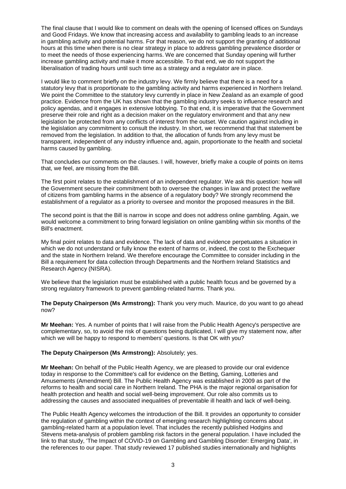The final clause that I would like to comment on deals with the opening of licensed offices on Sundays and Good Fridays. We know that increasing access and availability to gambling leads to an increase in gambling activity and potential harms. For that reason, we do not support the granting of additional hours at this time when there is no clear strategy in place to address gambling prevalence disorder or to meet the needs of those experiencing harms. We are concerned that Sunday opening will further increase gambling activity and make it more accessible. To that end, we do not support the liberalisation of trading hours until such time as a strategy and a regulator are in place.

I would like to comment briefly on the industry levy. We firmly believe that there is a need for a statutory levy that is proportionate to the gambling activity and harms experienced in Northern Ireland. We point the Committee to the statutory levy currently in place in New Zealand as an example of good practice. Evidence from the UK has shown that the gambling industry seeks to influence research and policy agendas, and it engages in extensive lobbying. To that end, it is imperative that the Government preserve their role and right as a decision maker on the regulatory environment and that any new legislation be protected from any conflicts of interest from the outset. We caution against including in the legislation any commitment to consult the industry. In short, we recommend that that statement be removed from the legislation. In addition to that, the allocation of funds from any levy must be transparent, independent of any industry influence and, again, proportionate to the health and societal harms caused by gambling.

That concludes our comments on the clauses. I will, however, briefly make a couple of points on items that, we feel, are missing from the Bill.

The first point relates to the establishment of an independent regulator. We ask this question: how will the Government secure their commitment both to oversee the changes in law and protect the welfare of citizens from gambling harms in the absence of a regulatory body? We strongly recommend the establishment of a regulator as a priority to oversee and monitor the proposed measures in the Bill.

The second point is that the Bill is narrow in scope and does not address online gambling. Again, we would welcome a commitment to bring forward legislation on online gambling within six months of the Bill's enactment.

My final point relates to data and evidence. The lack of data and evidence perpetuates a situation in which we do not understand or fully know the extent of harms or, indeed, the cost to the Exchequer and the state in Northern Ireland. We therefore encourage the Committee to consider including in the Bill a requirement for data collection through Departments and the Northern Ireland Statistics and Research Agency (NISRA).

We believe that the legislation must be established with a public health focus and be governed by a strong regulatory framework to prevent gambling-related harms. Thank you.

**The Deputy Chairperson (Ms Armstrong):** Thank you very much. Maurice, do you want to go ahead now?

**Mr Meehan:** Yes. A number of points that I will raise from the Public Health Agency's perspective are complementary, so, to avoid the risk of questions being duplicated, I will give my statement now, after which we will be happy to respond to members' questions. Is that OK with you?

#### **The Deputy Chairperson (Ms Armstrong):** Absolutely; yes.

**Mr Meehan:** On behalf of the Public Health Agency, we are pleased to provide our oral evidence today in response to the Committee's call for evidence on the Betting, Gaming, Lotteries and Amusements (Amendment) Bill. The Public Health Agency was established in 2009 as part of the reforms to health and social care in Northern Ireland. The PHA is the major regional organisation for health protection and health and social well-being improvement. Our role also commits us to addressing the causes and associated inequalities of preventable ill health and lack of well-being.

The Public Health Agency welcomes the introduction of the Bill. It provides an opportunity to consider the regulation of gambling within the context of emerging research highlighting concerns about gambling-related harm at a population level. That includes the recently published Hodgins and Stevens meta-analysis of problem gambling risk factors in the general population. I have included the link to that study, 'The Impact of COVID-19 on Gambling and Gambling Disorder: Emerging Data', in the references to our paper. That study reviewed 17 published studies internationally and highlights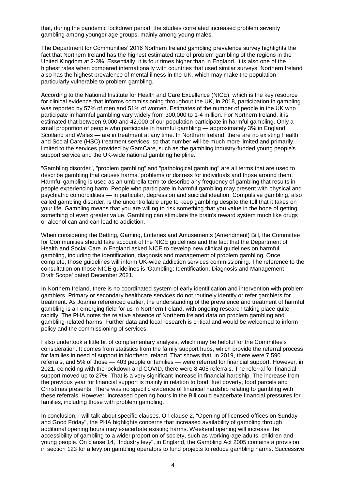that, during the pandemic lockdown period, the studies correlated increased problem severity gambling among younger age groups, mainly among young males.

The Department for Communities' 2016 Northern Ireland gambling prevalence survey highlights the fact that Northern Ireland has the highest estimated rate of problem gambling of the regions in the United Kingdom at 2·3%. Essentially, it is four times higher than in England. It is also one of the highest rates when compared internationally with countries that used similar surveys. Northern Ireland also has the highest prevalence of mental illness in the UK, which may make the population particularly vulnerable to problem gambling.

According to the National Institute for Health and Care Excellence (NICE), which is the key resource for clinical evidence that informs commissioning throughout the UK, in 2018, participation in gambling was reported by 57% of men and 51% of women. Estimates of the number of people in the UK who participate in harmful gambling vary widely from 300,000 to 1·4 million. For Northern Ireland, it is estimated that between 9,000 and 42,000 of our population participate in harmful gambling. Only a small proportion of people who participate in harmful gambling — approximately 3% in England, Scotland and Wales — are in treatment at any time. In Northern Ireland, there are no existing Health and Social Care (HSC) treatment services, so that number will be much more limited and primarily limited to the services provided by GamCare, such as the gambling industry-funded young people's support service and the UK-wide national gambling helpline.

"Gambling disorder", "problem gambling" and "pathological gambling" are all terms that are used to describe gambling that causes harms, problems or distress for individuals and those around them. Harmful gambling is used as an umbrella term to describe any frequency of gambling that results in people experiencing harm. People who participate in harmful gambling may present with physical and psychiatric comorbidities — in particular, depression and suicidal ideation. Compulsive gambling, also called gambling disorder, is the uncontrollable urge to keep gambling despite the toll that it takes on your life. Gambling means that you are willing to risk something that you value in the hope of getting something of even greater value. Gambling can stimulate the brain's reward system much like drugs or alcohol can and can lead to addiction.

When considering the Betting, Gaming, Lotteries and Amusements (Amendment) Bill, the Committee for Communities should take account of the NICE guidelines and the fact that the Department of Health and Social Care in England asked NICE to develop new clinical guidelines on harmful gambling, including the identification, diagnosis and management of problem gambling. Once complete, those guidelines will inform UK-wide addiction services commissioning. The reference to the consultation on those NICE guidelines is 'Gambling: Identification, Diagnosis and Management — Draft Scope' dated December 2021.

In Northern Ireland, there is no coordinated system of early identification and intervention with problem gamblers. Primary or secondary healthcare services do not routinely identify or refer gamblers for treatment. As Joanna referenced earlier, the understanding of the prevalence and treatment of harmful gambling is an emerging field for us in Northern Ireland, with ongoing research taking place quite rapidly. The PHA notes the relative absence of Northern Ireland data on problem gambling and gambling-related harms. Further data and local research is critical and would be welcomed to inform policy and the commissioning of services.

I also undertook a little bit of complementary analysis, which may be helpful for the Committee's consideration. It comes from statistics from the family support hubs, which provide the referral process for families in need of support in Northern Ireland. That shows that, in 2019, there were 7,590 referrals, and 5% of those — 403 people or families — were referred for financial support. However, in 2021, coinciding with the lockdown and COVID, there were 8,405 referrals. The referral for financial support moved up to 27%. That is a very significant increase in financial hardship. The increase from the previous year for financial support is mainly in relation to food, fuel poverty, food parcels and Christmas presents. There was no specific evidence of financial hardship relating to gambling with these referrals. However, increased opening hours in the Bill could exacerbate financial pressures for families, including those with problem gambling.

In conclusion, I will talk about specific clauses. On clause 2, "Opening of licensed offices on Sunday and Good Friday", the PHA highlights concerns that increased availability of gambling through additional opening hours may exacerbate existing harms. Weekend opening will increase the accessibility of gambling to a wider proportion of society, such as working-age adults, children and young people. On clause 14, "Industry levy", in England, the Gambling Act 2005 contains a provision in section 123 for a levy on gambling operators to fund projects to reduce gambling harms. Successive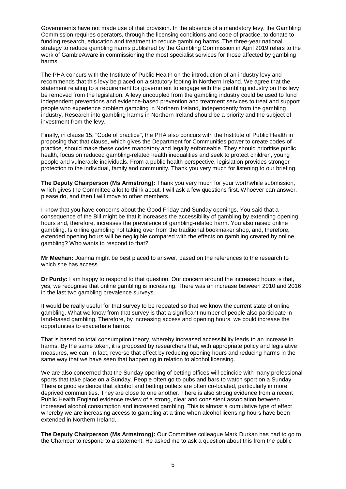Governments have not made use of that provision. In the absence of a mandatory levy, the Gambling Commission requires operators, through the licensing conditions and code of practice, to donate to funding research, education and treatment to reduce gambling harms. The three-year national strategy to reduce gambling harms published by the Gambling Commission in April 2019 refers to the work of GambleAware in commissioning the most specialist services for those affected by gambling harms.

The PHA concurs with the Institute of Public Health on the introduction of an industry levy and recommends that this levy be placed on a statutory footing in Northern Ireland. We agree that the statement relating to a requirement for government to engage with the gambling industry on this levy be removed from the legislation. A levy uncoupled from the gambling industry could be used to fund independent preventions and evidence-based prevention and treatment services to treat and support people who experience problem gambling in Northern Ireland, independently from the gambling industry. Research into gambling harms in Northern Ireland should be a priority and the subject of investment from the levy.

Finally, in clause 15, "Code of practice", the PHA also concurs with the Institute of Public Health in proposing that that clause, which gives the Department for Communities power to create codes of practice, should make these codes mandatory and legally enforceable. They should prioritise public health, focus on reduced gambling-related health inequalities and seek to protect children, young people and vulnerable individuals. From a public health perspective, legislation provides stronger protection to the individual, family and community. Thank you very much for listening to our briefing.

**The Deputy Chairperson (Ms Armstrong):** Thank you very much for your worthwhile submission, which gives the Committee a lot to think about. I will ask a few questions first. Whoever can answer, please do, and then I will move to other members.

I know that you have concerns about the Good Friday and Sunday openings. You said that a consequence of the Bill might be that it increases the accessibility of gambling by extending opening hours and, therefore, increases the prevalence of gambling-related harm. You also raised online gambling. Is online gambling not taking over from the traditional bookmaker shop, and, therefore, extended opening hours will be negligible compared with the effects on gambling created by online gambling? Who wants to respond to that?

**Mr Meehan:** Joanna might be best placed to answer, based on the references to the research to which she has access.

**Dr Purdy:** I am happy to respond to that question. Our concern around the increased hours is that, yes, we recognise that online gambling is increasing. There was an increase between 2010 and 2016 in the last two gambling prevalence surveys.

It would be really useful for that survey to be repeated so that we know the current state of online gambling. What we know from that survey is that a significant number of people also participate in land-based gambling. Therefore, by increasing access and opening hours, we could increase the opportunities to exacerbate harms.

That is based on total consumption theory, whereby increased accessibility leads to an increase in harms. By the same token, it is proposed by researchers that, with appropriate policy and legislative measures, we can, in fact, reverse that effect by reducing opening hours and reducing harms in the same way that we have seen that happening in relation to alcohol licensing.

We are also concerned that the Sunday opening of betting offices will coincide with many professional sports that take place on a Sunday. People often go to pubs and bars to watch sport on a Sunday. There is good evidence that alcohol and betting outlets are often co-located, particularly in more deprived communities. They are close to one another. There is also strong evidence from a recent Public Health England evidence review of a strong, clear and consistent association between increased alcohol consumption and increased gambling. This is almost a cumulative type of effect whereby we are increasing access to gambling at a time when alcohol licensing hours have been extended in Northern Ireland.

**The Deputy Chairperson (Ms Armstrong):** Our Committee colleague Mark Durkan has had to go to the Chamber to respond to a statement. He asked me to ask a question about this from the public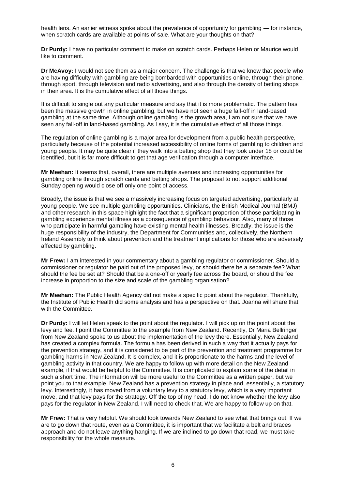health lens. An earlier witness spoke about the prevalence of opportunity for gambling — for instance, when scratch cards are available at points of sale. What are your thoughts on that?

**Dr Purdy:** I have no particular comment to make on scratch cards. Perhaps Helen or Maurice would like to comment.

**Dr McAvoy:** I would not see them as a major concern. The challenge is that we know that people who are having difficulty with gambling are being bombarded with opportunities online, through their phone, through sport, through television and radio advertising, and also through the density of betting shops in their area. It is the cumulative effect of all those things.

It is difficult to single out any particular measure and say that it is more problematic. The pattern has been the massive growth in online gambling, but we have not seen a huge fall-off in land-based gambling at the same time. Although online gambling is the growth area, I am not sure that we have seen any fall-off in land-based gambling. As I say, it is the cumulative effect of all those things.

The regulation of online gambling is a major area for development from a public health perspective, particularly because of the potential increased accessibility of online forms of gambling to children and young people. It may be quite clear if they walk into a betting shop that they look under 18 or could be identified, but it is far more difficult to get that age verification through a computer interface.

**Mr Meehan:** It seems that, overall, there are multiple avenues and increasing opportunities for gambling online through scratch cards and betting shops. The proposal to not support additional Sunday opening would close off only one point of access.

Broadly, the issue is that we see a massively increasing focus on targeted advertising, particularly at young people. We see multiple gambling opportunities. Clinicians, the British Medical Journal (BMJ) and other research in this space highlight the fact that a significant proportion of those participating in gambling experience mental illness as a consequence of gambling behaviour. Also, many of those who participate in harmful gambling have existing mental health illnesses. Broadly, the issue is the huge responsibility of the industry, the Department for Communities and, collectively, the Northern Ireland Assembly to think about prevention and the treatment implications for those who are adversely affected by gambling.

**Mr Frew:** I am interested in your commentary about a gambling regulator or commissioner. Should a commissioner or regulator be paid out of the proposed levy, or should there be a separate fee? What should the fee be set at? Should that be a one-off or yearly fee across the board, or should the fee increase in proportion to the size and scale of the gambling organisation?

**Mr Meehan:** The Public Health Agency did not make a specific point about the regulator. Thankfully, the Institute of Public Health did some analysis and has a perspective on that. Joanna will share that with the Committee.

**Dr Purdy:** I will let Helen speak to the point about the regulator. I will pick up on the point about the levy and fee. I point the Committee to the example from New Zealand. Recently, Dr Maria Bellringer from New Zealand spoke to us about the implementation of the levy there. Essentially, New Zealand has created a complex formula. The formula has been derived in such a way that it actually pays for the prevention strategy, and it is considered to be part of the prevention and treatment programme for gambling harms in New Zealand. It is complex, and it is proportionate to the harms and the level of gambling activity in that country. We are happy to follow up with more detail on the New Zealand example, if that would be helpful to the Committee. It is complicated to explain some of the detail in such a short time. The information will be more useful to the Committee as a written paper, but we point you to that example. New Zealand has a prevention strategy in place and, essentially, a statutory levy. Interestingly, it has moved from a voluntary levy to a statutory levy, which is a very important move, and that levy pays for the strategy. Off the top of my head, I do not know whether the levy also pays for the regulator in New Zealand. I will need to check that. We are happy to follow up on that.

**Mr Frew:** That is very helpful. We should look towards New Zealand to see what that brings out. If we are to go down that route, even as a Committee, it is important that we facilitate a belt and braces approach and do not leave anything hanging. If we are inclined to go down that road, we must take responsibility for the whole measure.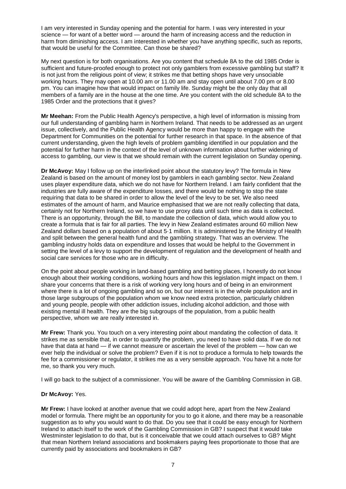I am very interested in Sunday opening and the potential for harm. I was very interested in your science — for want of a better word — around the harm of increasing access and the reduction in harm from diminishing access. I am interested in whether you have anything specific, such as reports, that would be useful for the Committee. Can those be shared?

My next question is for both organisations. Are you content that schedule 8A to the old 1985 Order is sufficient and future-proofed enough to protect not only gamblers from excessive gambling but staff? It is not just from the religious point of view; it strikes me that betting shops have very unsociable working hours. They may open at 10.00 am or 11.00 am and stay open until about 7.00 pm or 8.00 pm. You can imagine how that would impact on family life. Sunday might be the only day that all members of a family are in the house at the one time. Are you content with the old schedule 8A to the 1985 Order and the protections that it gives?

**Mr Meehan:** From the Public Health Agency's perspective, a high level of information is missing from our full understanding of gambling harm in Northern Ireland. That needs to be addressed as an urgent issue, collectively, and the Public Health Agency would be more than happy to engage with the Department for Communities on the potential for further research in that space. In the absence of that current understanding, given the high levels of problem gambling identified in our population and the potential for further harm in the context of the level of unknown information about further widening of access to gambling, our view is that we should remain with the current legislation on Sunday opening.

**Dr McAvoy:** May I follow up on the interlinked point about the statutory levy? The formula in New Zealand is based on the amount of money lost by gamblers in each gambling sector. New Zealand uses player expenditure data, which we do not have for Northern Ireland. I am fairly confident that the industries are fully aware of the expenditure losses, and there would be nothing to stop the state requiring that data to be shared in order to allow the level of the levy to be set. We also need estimates of the amount of harm, and Maurice emphasised that we are not really collecting that data, certainly not for Northern Ireland, so we have to use proxy data until such time as data is collected. There is an opportunity, through the Bill, to mandate the collection of data, which would allow you to create a formula that is fair for all parties. The levy in New Zealand estimates around 60 million New Zealand dollars based on a population of about 5·1 million. It is administered by the Ministry of Health and split between the general health fund and the gambling strategy. That was an overview. The gambling industry holds data on expenditure and losses that would be helpful to the Government in setting the level of a levy to support the development of regulation and the development of health and social care services for those who are in difficulty.

On the point about people working in land-based gambling and betting places, I honestly do not know enough about their working conditions, working hours and how this legislation might impact on them. I share your concerns that there is a risk of working very long hours and of being in an environment where there is a lot of ongoing gambling and so on, but our interest is in the whole population and in those large subgroups of the population whom we know need extra protection, particularly children and young people, people with other addiction issues, including alcohol addiction, and those with existing mental ill health. They are the big subgroups of the population, from a public health perspective, whom we are really interested in.

**Mr Frew:** Thank you. You touch on a very interesting point about mandating the collection of data. It strikes me as sensible that, in order to quantify the problem, you need to have solid data. If we do not have that data at hand — if we cannot measure or ascertain the level of the problem — how can we ever help the individual or solve the problem? Even if it is not to produce a formula to help towards the fee for a commissioner or regulator, it strikes me as a very sensible approach. You have hit a note for me, so thank you very much.

I will go back to the subject of a commissioner. You will be aware of the Gambling Commission in GB.

#### **Dr McAvoy:** Yes.

**Mr Frew:** I have looked at another avenue that we could adopt here, apart from the New Zealand model or formula. There might be an opportunity for you to go it alone, and there may be a reasonable suggestion as to why you would want to do that. Do you see that it could be easy enough for Northern Ireland to attach itself to the work of the Gambling Commission in GB? I suspect that it would take Westminster legislation to do that, but is it conceivable that we could attach ourselves to GB? Might that mean Northern Ireland associations and bookmakers paying fees proportionate to those that are currently paid by associations and bookmakers in GB?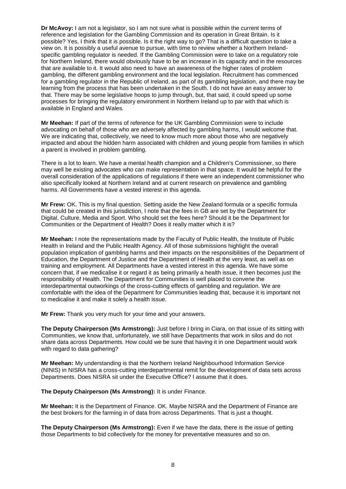**Dr McAvoy:** I am not a legislator, so I am not sure what is possible within the current terms of reference and legislation for the Gambling Commission and its operation in Great Britain. Is it possible? Yes, I think that it is possible. Is it the right way to go? That is a difficult question to take a view on. It is possibly a useful avenue to pursue, with time to review whether a Northern Irelandspecific gambling regulator is needed. If the Gambling Commission were to take on a regulatory role for Northern Ireland, there would obviously have to be an increase in its capacity and in the resources that are available to it. It would also need to have an awareness of the higher rates of problem gambling, the different gambling environment and the local legislation. Recruitment has commenced for a gambling regulator in the Republic of Ireland, as part of its gambling legislation, and there may be learning from the process that has been undertaken in the South. I do not have an easy answer to that. There may be some legislative hoops to jump through, but, that said, it could speed up some processes for bringing the regulatory environment in Northern Ireland up to par with that which is available in England and Wales.

**Mr Meehan:** If part of the terms of reference for the UK Gambling Commission were to include advocating on behalf of those who are adversely affected by gambling harms, I would welcome that. We are indicating that, collectively, we need to know much more about those who are negatively impacted and about the hidden harm associated with children and young people from families in which a parent is involved in problem gambling.

There is a lot to learn. We have a mental health champion and a Children's Commissioner, so there may well be existing advocates who can make representation in that space. It would be helpful for the overall consideration of the applications of regulations if there were an independent commissioner who also specifically looked at Northern Ireland and at current research on prevalence and gambling harms. All Governments have a vested interest in this agenda.

**Mr Frew:** OK. This is my final question. Setting aside the New Zealand formula or a specific formula that could be created in this jurisdiction, I note that the fees in GB are set by the Department for Digital, Culture, Media and Sport. Who should set the fees here? Should it be the Department for Communities or the Department of Health? Does it really matter which it is?

**Mr Meehan:** I note the representations made by the Faculty of Public Health, the Institute of Public Health in Ireland and the Public Health Agency. All of those submissions highlight the overall population implication of gambling harms and their impacts on the responsibilities of the Department of Education, the Department of Justice and the Department of Health at the very least, as well as on training and employment. All Departments have a vested interest in this agenda. We have some concern that, if we medicalise it or regard it as being primarily a health issue, it then becomes just the responsibility of Health. The Department for Communities is well placed to convene the interdepartmental outworkings of the cross-cutting effects of gambling and regulation. We are comfortable with the idea of the Department for Communities leading that, because it is important not to medicalise it and make it solely a health issue.

**Mr Frew:** Thank you very much for your time and your answers.

**The Deputy Chairperson (Ms Armstrong):** Just before I bring in Ciara, on that issue of its sitting with Communities, we know that, unfortunately, we still have Departments that work in silos and do not share data across Departments. How could we be sure that having it in one Department would work with regard to data gathering?

**Mr Meehan:** My understanding is that the Northern Ireland Neighbourhood Information Service (NINIS) in NISRA has a cross-cutting interdepartmental remit for the development of data sets across Departments. Does NISRA sit under the Executive Office? I assume that it does.

**The Deputy Chairperson (Ms Armstrong):** It is under Finance.

**Mr Meehan:** It is the Department of Finance. OK. Maybe NISRA and the Department of Finance are the best brokers for the farming in of data from across Departments. That is just a thought.

**The Deputy Chairperson (Ms Armstrong):** Even if we have the data, there is the issue of getting those Departments to bid collectively for the money for preventative measures and so on.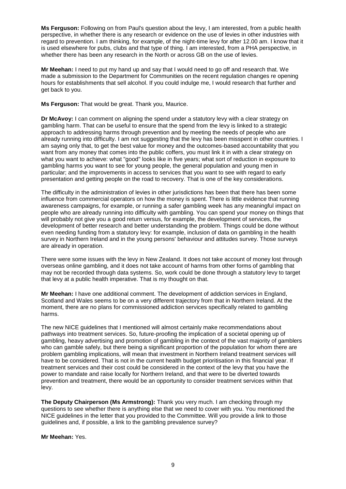**Ms Ferguson:** Following on from Paul's question about the levy, I am interested, from a public health perspective, in whether there is any research or evidence on the use of levies in other industries with regard to prevention. I am thinking, for example, of the night-time levy for after 12.00 am. I know that it is used elsewhere for pubs, clubs and that type of thing. I am interested, from a PHA perspective, in whether there has been any research in the North or across GB on the use of levies.

**Mr Meehan:** I need to put my hand up and say that I would need to go off and research that. We made a submission to the Department for Communities on the recent regulation changes re opening hours for establishments that sell alcohol. If you could indulge me, I would research that further and get back to you.

**Ms Ferguson:** That would be great. Thank you, Maurice.

**Dr McAvoy:** I can comment on aligning the spend under a statutory levy with a clear strategy on gambling harm. That can be useful to ensure that the spend from the levy is linked to a strategic approach to addressing harms through prevention and by meeting the needs of people who are already running into difficulty. I am not suggesting that the levy has been misspent in other countries. I am saying only that, to get the best value for money and the outcomes-based accountability that you want from any money that comes into the public coffers, you must link it in with a clear strategy on what you want to achieve: what "good" looks like in five years; what sort of reduction in exposure to gambling harms you want to see for young people, the general population and young men in particular; and the improvements in access to services that you want to see with regard to early presentation and getting people on the road to recovery. That is one of the key considerations.

The difficulty in the administration of levies in other jurisdictions has been that there has been some influence from commercial operators on how the money is spent. There is little evidence that running awareness campaigns, for example, or running a safer gambling week has any meaningful impact on people who are already running into difficulty with gambling. You can spend your money on things that will probably not give you a good return versus, for example, the development of services, the development of better research and better understanding the problem. Things could be done without even needing funding from a statutory levy: for example, inclusion of data on gambling in the health survey in Northern Ireland and in the young persons' behaviour and attitudes survey. Those surveys are already in operation.

There were some issues with the levy in New Zealand. It does not take account of money lost through overseas online gambling, and it does not take account of harms from other forms of gambling that may not be recorded through data systems. So, work could be done through a statutory levy to target that levy at a public health imperative. That is my thought on that.

**Mr Meehan:** I have one additional comment. The development of addiction services in England, Scotland and Wales seems to be on a very different trajectory from that in Northern Ireland. At the moment, there are no plans for commissioned addiction services specifically related to gambling harms.

The new NICE guidelines that I mentioned will almost certainly make recommendations about pathways into treatment services. So, future-proofing the implication of a societal opening up of gambling, heavy advertising and promotion of gambling in the context of the vast majority of gamblers who can gamble safely, but there being a significant proportion of the population for whom there are problem gambling implications, will mean that investment in Northern Ireland treatment services will have to be considered. That is not in the current health budget prioritisation in this financial year. If treatment services and their cost could be considered in the context of the levy that you have the power to mandate and raise locally for Northern Ireland, and that were to be diverted towards prevention and treatment, there would be an opportunity to consider treatment services within that levy.

**The Deputy Chairperson (Ms Armstrong):** Thank you very much. I am checking through my questions to see whether there is anything else that we need to cover with you. You mentioned the NICE guidelines in the letter that you provided to the Committee. Will you provide a link to those guidelines and, if possible, a link to the gambling prevalence survey?

**Mr Meehan:** Yes.